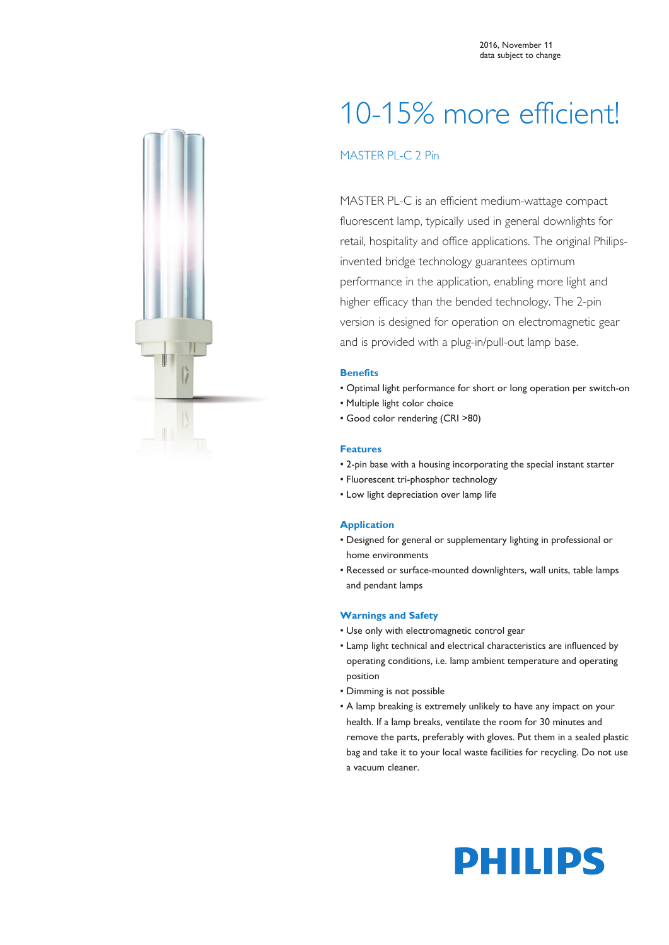

# 10-15% more efficient!

# MASTER PL-C 2 Pin

MASTER PL-C is an efficient medium-wattage compact fluorescent lamp, typically used in general downlights for retail, hospitality and office applications. The original Philipsinvented bridge technology guarantees optimum performance in the application, enabling more light and higher efficacy than the bended technology. The 2-pin version is designed for operation on electromagnetic gear and is provided with a plug-in/pull-out lamp base.

## **Benefits**

- Optimal light performance for short or long operation per switch-on
- Multiple light color choice
- Good color rendering (CRI >80)

### **Features**

- 2-pin base with a housing incorporating the special instant starter
- Fluorescent tri-phosphor technology
- Low light depreciation over lamp life

### **Application**

- Designed for general or supplementary lighting in professional or home environments
- Recessed or surface-mounted downlighters, wall units, table lamps and pendant lamps

### **Warnings and Safety**

- Use only with electromagnetic control gear
- Lamp light technical and electrical characteristics are influenced by operating conditions, i.e. lamp ambient temperature and operating position
- Dimming is not possible
- A lamp breaking is extremely unlikely to have any impact on your health. If a lamp breaks, ventilate the room for 30 minutes and remove the parts, preferably with gloves. Put them in a sealed plastic bag and take it to your local waste facilities for recycling. Do not use a vacuum cleaner.

# **PHILIPS**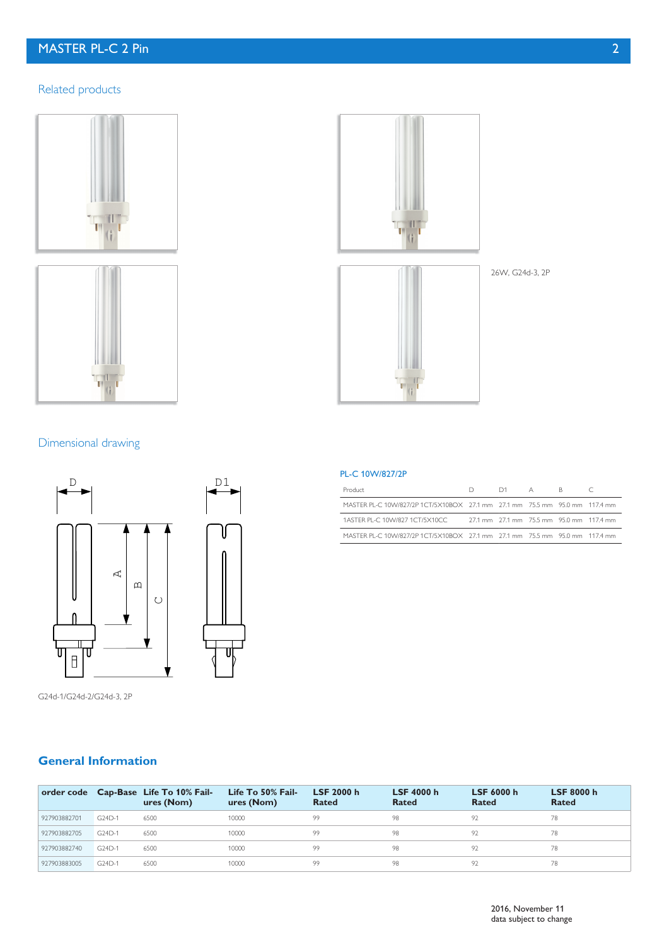# MASTER PL-C 2 Pin 2

# Related products







26W, G24d-3, 2P

# Dimensional drawing



G24d-1/G24d-2/G24d-3, 2P

### PL-C 10W/827/2P

| Product                                                                     | $D \quad \Box$ | $D1 \qquad A \qquad R$ |  |                                          |
|-----------------------------------------------------------------------------|----------------|------------------------|--|------------------------------------------|
| MASTER PL-C 10W/827/2P 1CT/5X10BOX 27.1 mm 27.1 mm 75.5 mm 95.0 mm 117.4 mm |                |                        |  |                                          |
| 1ASTER PL-C 10W/827 1CT/5X10CC                                              |                |                        |  | 27.1 mm 27.1 mm 75.5 mm 95.0 mm 117.4 mm |
| MASTER PL-C 10W/827/2P 1CT/5X10BOX 27.1 mm 27.1 mm 75.5 mm 95.0 mm 117.4 mm |                |                        |  |                                          |

# **General Information**

|              |             | order code Cap-Base Life To 10% Fail-<br>ures (Nom) | Life To 50% Fail-<br>ures (Nom) | LSF 2000 h<br>Rated | <b>LSF 4000 h</b><br>Rated | LSF 6000 h<br>Rated | <b>LSF 8000 h</b><br>Rated |
|--------------|-------------|-----------------------------------------------------|---------------------------------|---------------------|----------------------------|---------------------|----------------------------|
| 927903882701 | $G$ $24D-1$ | 6500                                                | 10000                           | 99                  | 98                         | 97                  | 78                         |
| 927903882705 | $G$ $24D-1$ | 6500                                                | 10000                           | 99.                 | 98                         | 97                  | 78                         |
| 927903882740 | $G$ $24D-1$ | 6500                                                | 10000                           | 99                  | 98                         | 97                  | 78                         |
| 927903883005 | G24D-1      | 6500                                                | 10000                           | 99                  |                            |                     | 78                         |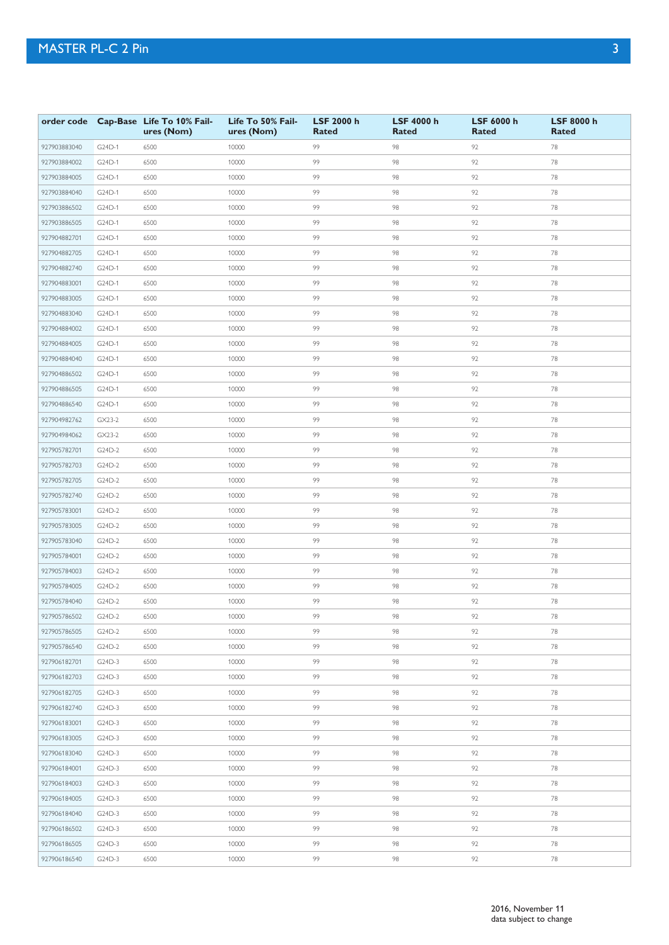|              |          | order code Cap-Base Life To 10% Fail-<br>ures (Nom) | Life To 50% Fail-<br>ures (Nom) | <b>LSF 2000 h</b><br><b>Rated</b> | <b>LSF 4000 h</b><br><b>Rated</b> | LSF 6000 h<br><b>Rated</b> | LSF 8000 h<br><b>Rated</b> |
|--------------|----------|-----------------------------------------------------|---------------------------------|-----------------------------------|-----------------------------------|----------------------------|----------------------------|
| 927903883040 | G24D-1   | 6500                                                | 10000                           | 99                                | 98                                | 92                         | 78                         |
| 927903884002 | G24D-1   | 6500                                                | 10000                           | 99                                | 98                                | 92                         | 78                         |
| 927903884005 | G24D-1   | 6500                                                | 10000                           | 99                                | 98                                | 92                         | 78                         |
| 927903884040 | G24D-1   | 6500                                                | 10000                           | 99                                | 98                                | 92                         | 78                         |
| 927903886502 | G24D-1   | 6500                                                | 10000                           | 99                                | 98                                | 92                         | 78                         |
| 927903886505 | G24D-1   | 6500                                                | 10000                           | 99                                | 98                                | 92                         | 78                         |
| 927904882701 | G24D-1   | 6500                                                | 10000                           | 99                                | 98                                | 92                         | 78                         |
| 927904882705 | G24D-1   | 6500                                                | 10000                           | 99                                | 98                                | 92                         | 78                         |
| 927904882740 | G24D-1   | 6500                                                | 10000                           | 99                                | 98                                | 92                         | 78                         |
| 927904883001 | G24D-1   | 6500                                                | 10000                           | 99                                | 98                                | 92                         | 78                         |
| 927904883005 | G24D-1   | 6500                                                | 10000                           | 99                                | 98                                | 92                         | 78                         |
| 927904883040 | G24D-1   | 6500                                                | 10000                           | 99                                | 98                                | 92                         | 78                         |
| 927904884002 | G24D-1   | 6500                                                | 10000                           | 99                                | 98                                | 92                         | 78                         |
| 927904884005 | G24D-1   | 6500                                                | 10000                           | 99                                | 98                                | 92                         | 78                         |
| 927904884040 | G24D-1   | 6500                                                | 10000                           | 99                                | 98                                | 92                         | 78                         |
| 927904886502 | G24D-1   | 6500                                                | 10000                           | 99                                | 98                                | 92                         | 78                         |
| 927904886505 | G24D-1   | 6500                                                | 10000                           | 99                                | 98                                | 92                         | 78                         |
| 927904886540 | G24D-1   | 6500                                                | 10000                           | 99                                | 98                                | 92                         | 78                         |
| 927904982762 | $GX23-2$ | 6500                                                | 10000                           | 99                                | 98                                | 92                         | 78                         |
| 927904984062 | GX23-2   | 6500                                                | 10000                           | 99                                | 98                                | 92                         | 78                         |
| 927905782701 | G24D-2   | 6500                                                | 10000                           | 99                                | 98                                | 92                         | 78                         |
| 927905782703 | G24D-2   | 6500                                                | 10000                           | 99                                | 98                                | 92                         | 78                         |
| 927905782705 | G24D-2   | 6500                                                | 10000                           | 99                                | 98                                | 92                         | 78                         |
| 927905782740 | G24D-2   | 6500                                                | 10000                           | 99                                | 98                                | 92                         | 78                         |
| 927905783001 | G24D-2   | 6500                                                | 10000                           | 99                                | 98                                | 92                         | 78                         |
| 927905783005 | G24D-2   | 6500                                                | 10000                           | 99                                | 98                                | 92                         | 78                         |
| 927905783040 | G24D-2   | 6500                                                | 10000                           | 99                                | 98                                | 92                         | 78                         |
| 927905784001 | G24D-2   | 6500                                                | 10000                           | 99                                | 98                                | 92                         | 78                         |
| 927905784003 | G24D-2   | 6500                                                | 10000                           | 99                                | 98                                | 92                         | 78                         |
| 927905784005 | G24D-2   | 6500                                                | 10000                           | 99                                | 98                                | 92                         | 78                         |
| 927905784040 | G24D-2   | 6500                                                | 10000                           | 99                                | 98                                | 92                         | 78                         |
| 927905786502 | $G24D-2$ | 6500                                                | 10000                           | 99                                | 98                                | 92                         | 78                         |
| 927905786505 | G24D-2   | 6500                                                | 10000                           | 99                                | 98                                | 92                         | 78                         |
| 927905786540 | G24D-2   | 6500                                                | 10000                           | 99                                | 98                                | 92                         | 78                         |
| 927906182701 | G24D-3   | 6500                                                | 10000                           | 99                                | 98                                | 92                         | 78                         |
| 927906182703 | G24D-3   | 6500                                                | 10000                           | 99                                | 98                                | 92                         | 78                         |
| 927906182705 | G24D-3   | 6500                                                | 10000                           | 99                                | 98                                | 92                         | 78                         |
| 927906182740 | G24D-3   | 6500                                                | 10000                           | 99                                | 98                                | 92                         | 78                         |
| 927906183001 | G24D-3   | 6500                                                | 10000                           | 99                                | 98                                | 92                         | 78                         |
| 927906183005 | G24D-3   | 6500                                                | 10000                           | 99                                | 98                                | 92                         | 78                         |
| 927906183040 | $G24D-3$ | 6500                                                | 10000                           | 99                                | 98                                | 92                         | 78                         |
| 927906184001 | G24D-3   | 6500                                                | 10000                           | 99                                | 98                                | 92                         | 78                         |
| 927906184003 | G24D-3   | 6500                                                | 10000                           | 99                                | 98                                | 92                         | 78                         |
| 927906184005 | G24D-3   | 6500                                                | 10000                           | 99                                | 98                                | 92                         | 78                         |
| 927906184040 | G24D-3   | 6500                                                | 10000                           | 99                                | 98                                | 92                         | 78                         |
| 927906186502 | G24D-3   | 6500                                                | 10000                           | 99                                | 98                                | 92                         | 78                         |
| 927906186505 | G24D-3   | 6500                                                | 10000                           | 99                                | 98                                | 92                         | 78                         |
| 927906186540 | $G24D-3$ | 6500                                                | 10000                           | 99                                | 98                                | 92                         | 78                         |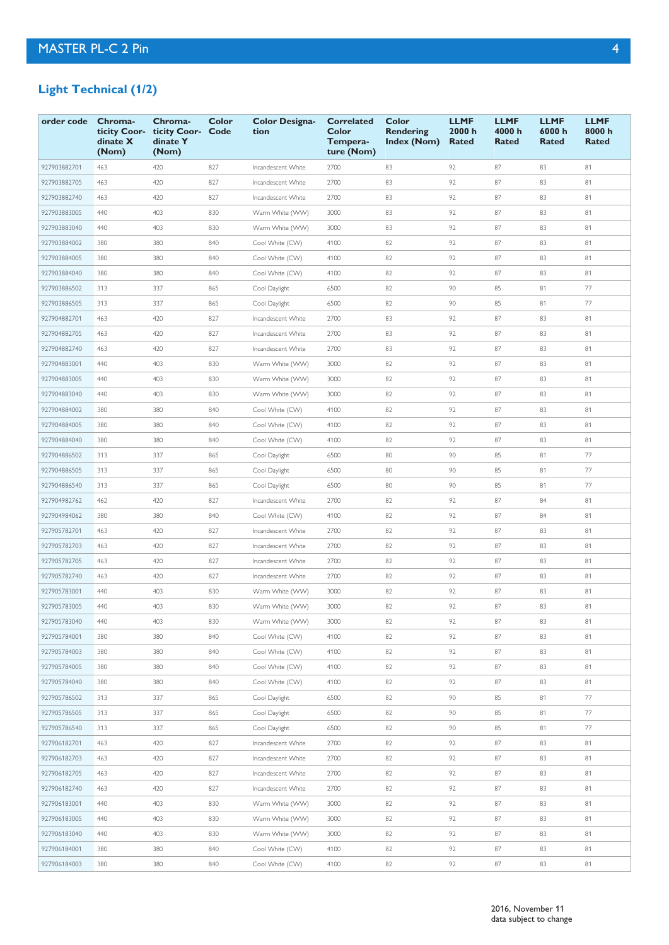# **Light Technical (1/2)**

| order code   | Chroma-<br>ticity Coor-<br>dinate X<br>(Nom) | Chroma-<br>ticity Coor-<br>dinate Y<br>(Nom) | Color<br>Code | <b>Color Designa-</b><br>tion | <b>Correlated</b><br>Color<br>Tempera-<br>ture (Nom) | Color<br>Rendering<br><b>Index (Nom)</b> | <b>LLMF</b><br>2000 h<br>Rated | <b>LLMF</b><br>4000 h<br>Rated | <b>LLMF</b><br>6000 h<br>Rated | <b>LLMF</b><br>8000h<br><b>Rated</b> |
|--------------|----------------------------------------------|----------------------------------------------|---------------|-------------------------------|------------------------------------------------------|------------------------------------------|--------------------------------|--------------------------------|--------------------------------|--------------------------------------|
| 927903882701 | 463                                          | 420                                          | 827           | Incandescent White            | 2700                                                 | 83                                       | 92                             | 87                             | 83                             | 81                                   |
| 927903882705 | 463                                          | 420                                          | 827           | Incandescent White            | 2700                                                 | 83                                       | 92                             | 87                             | 83                             | 81                                   |
| 927903882740 | 463                                          | 420                                          | 827           | Incandescent White            | 2700                                                 | 83                                       | 92                             | 87                             | 83                             | 81                                   |
| 927903883005 | 440                                          | 403                                          | 830           | Warm White (WW)               | 3000                                                 | 83                                       | 92                             | 87                             | 83                             | 81                                   |
| 927903883040 | 440                                          | 403                                          | 830           | Warm White (WW)               | 3000                                                 | 83                                       | 92                             | 87                             | 83                             | 81                                   |
| 927903884002 | 380                                          | 380                                          | 840           | Cool White (CW)               | 4100                                                 | 82                                       | 92                             | 87                             | 83                             | 81                                   |
| 927903884005 | 380                                          | 380                                          | 840           | Cool White (CW)               | 4100                                                 | 82                                       | 92                             | 87                             | 83                             | 81                                   |
| 927903884040 | 380                                          | 380                                          | 840           | Cool White (CW)               | 4100                                                 | 82                                       | 92                             | 87                             | 83                             | 81                                   |
| 927903886502 | 313                                          | 337                                          | 865           | Cool Daylight                 | 6500                                                 | 82                                       | 90                             | 85                             | 81                             | 77                                   |
| 927903886505 | 313                                          | 337                                          | 865           | Cool Daylight                 | 6500                                                 | 82                                       | 90                             | 85                             | 81                             | 77                                   |
| 927904882701 | 463                                          | 420                                          | 827           | Incandescent White            | 2700                                                 | 83                                       | 92                             | 87                             | 83                             | 81                                   |
| 927904882705 | 463                                          | 420                                          | 827           | Incandescent White            | 2700                                                 | 83                                       | 92                             | 87                             | 83                             | 81                                   |
| 927904882740 | 463                                          | 420                                          | 827           | Incandescent White            | 2700                                                 | 83                                       | 92                             | 87                             | 83                             | 81                                   |
| 927904883001 | 440                                          | 403                                          | 830           | Warm White (WW)               | 3000                                                 | 82                                       | 92                             | 87                             | 83                             | 81                                   |
| 927904883005 | 440                                          | 403                                          | 830           | Warm White (WW)               | 3000                                                 | 82                                       | 92                             | 87                             | 83                             | 81                                   |
| 927904883040 | 440                                          | 403                                          | 830           | Warm White (WW)               | 3000                                                 | 82                                       | 92                             | 87                             | 83                             | 81                                   |
| 927904884002 | 380                                          | 380                                          | 840           | Cool White (CW)               | 4100                                                 | 82                                       | 92                             | 87                             | 83                             | 81                                   |
| 927904884005 | 380                                          | 380                                          | 840           | Cool White (CW)               | 4100                                                 | 82                                       | 92                             | 87                             | 83                             | 81                                   |
| 927904884040 | 380                                          | 380                                          | 840           | Cool White (CW)               | 4100                                                 | 82                                       | 92                             | 87                             | 83                             | 81                                   |
| 927904886502 | 313                                          | 337                                          | 865           | Cool Daylight                 | 6500                                                 | 80                                       | 90                             | 85                             | 81                             | 77                                   |
| 927904886505 | 313                                          | 337                                          | 865           | Cool Daylight                 | 6500                                                 | 80                                       | 90                             | 85                             | 81                             | 77                                   |
| 927904886540 | 313                                          | 337                                          | 865           | Cool Daylight                 | 6500                                                 | 80                                       | 90                             | 85                             | 81                             | 77                                   |
| 927904982762 | 462                                          | 420                                          | 827           | Incandescent White            | 2700                                                 | 82                                       | 92                             | 87                             | 84                             | 81                                   |
| 927904984062 | 380                                          | 380                                          | 840           | Cool White (CW)               | 4100                                                 | 82                                       | 92                             | 87                             | 84                             | 81                                   |
| 927905782701 | 463                                          | 420                                          | 827           | Incandescent White            | 2700                                                 | 82                                       | 92                             | 87                             | 83                             | 81                                   |
| 927905782703 | 463                                          | 420                                          | 827           | Incandescent White            | 2700                                                 | 82                                       | 92                             | 87                             | 83                             | 81                                   |
| 927905782705 | 463                                          | 420                                          | 827           | Incandescent White            | 2700                                                 | 82                                       | 92                             | 87                             | 83                             | 81                                   |
| 927905782740 | 463                                          | 420                                          | 827           | Incandescent White            | 2700                                                 | 82                                       | 92                             | 87                             | 83                             | 81                                   |
| 927905783001 | 440                                          | 403                                          | 830           | Warm White (WW)               | 3000                                                 | 82                                       | 92                             | 87                             | 83                             | 81                                   |
| 927905783005 | 440                                          | 403                                          | 830           | Warm White (WW)               | 3000                                                 | 82                                       | 92                             | 87                             | 83                             | 81                                   |
| 927905783040 | 440                                          | 403                                          | 830           | Warm White (WW)               | 3000                                                 | 82                                       | 92                             | 87                             | 83                             | 81                                   |
| 927905784001 | 380                                          | 380                                          | 840           | Cool White (CW)               | 4100                                                 | 82                                       | 92                             | 87                             | 83                             | 81                                   |
| 927905784003 | 380                                          | 380                                          | 840           | Cool White (CW)               | 4100                                                 | 82                                       | 92                             | 87                             | 83                             | 81                                   |
| 927905784005 | 380                                          | 380                                          | 840           | Cool White (CW)               | 4100                                                 | 82                                       | 92                             | 87                             | 83                             | 81                                   |
| 927905784040 | 380                                          | 380                                          | 840           | Cool White (CW)               | 4100                                                 | 82                                       | 92                             | 87                             | 83                             | 81                                   |
| 927905786502 | 313                                          | 337                                          | 865           | Cool Daylight                 | 6500                                                 | 82                                       | 90                             | 85                             | 81                             | 77                                   |
| 927905786505 | 313                                          | 337                                          | 865           | Cool Daylight                 | 6500                                                 | 82                                       | 90                             | 85                             | 81                             | 77                                   |
| 927905786540 | 313                                          | 337                                          | 865           | Cool Daylight                 | 6500                                                 | 82                                       | 90                             | 85                             | 81                             | 77                                   |
| 927906182701 | 463                                          | 420                                          | 827           | Incandescent White            | 2700                                                 | 82                                       | 92                             | 87                             | 83                             | 81                                   |
| 927906182703 | 463                                          | 420                                          | 827           | Incandescent White            | 2700                                                 | 82                                       | 92                             | 87                             | 83                             | 81                                   |
| 927906182705 | 463                                          | 420                                          | 827           | Incandescent White            | 2700                                                 | 82                                       | 92                             | 87                             | 83                             | 81                                   |
| 927906182740 | 463                                          | 420                                          | 827           | Incandescent White            | 2700                                                 | 82                                       | 92                             | 87                             | 83                             | 81                                   |
| 927906183001 | 440                                          | 403                                          | 830           | Warm White (WW)               | 3000                                                 | 82                                       | 92                             | 87                             | 83                             | 81                                   |
| 927906183005 | 440                                          | 403                                          | 830           | Warm White (WW)               | 3000                                                 | 82                                       | 92                             | 87                             | 83                             | 81                                   |
| 927906183040 | 440                                          | 403                                          | 830           | Warm White (WW)               | 3000                                                 | 82                                       | 92                             | 87                             | 83                             | 81                                   |
| 927906184001 | 380                                          | 380                                          | 840           | Cool White (CW)               | 4100                                                 | 82                                       | 92                             | 87                             | 83                             | 81                                   |
| 927906184003 | 380                                          | 380                                          | 840           | Cool White (CW)               | 4100                                                 | 82                                       | 92                             | 87                             | 83                             | 81                                   |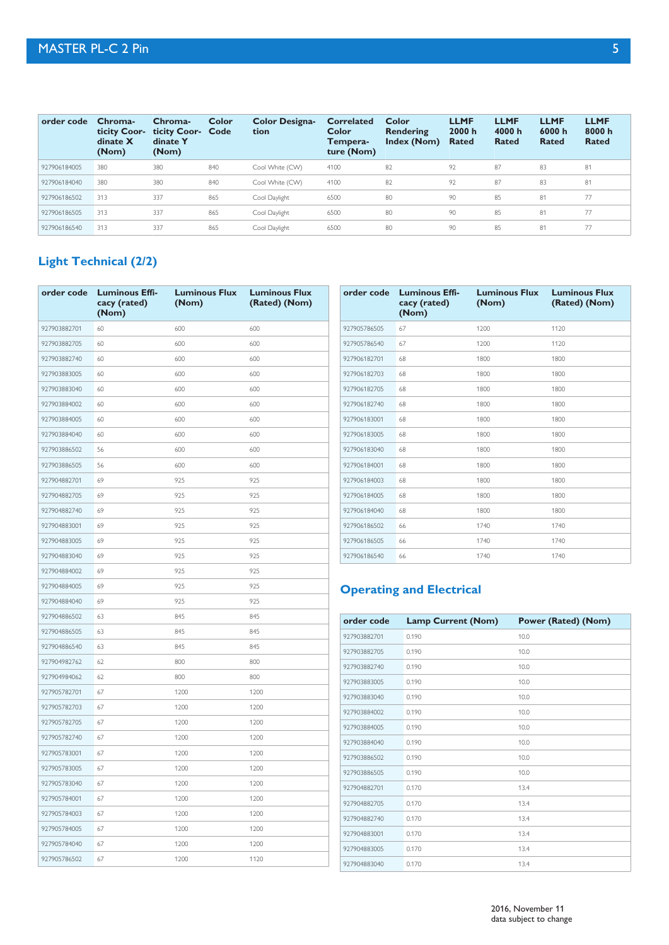| order code   | Chroma-<br>ticity Coor-<br>dinate X<br>(Nom) | Chroma-<br>ticity Coor- Code<br>dinate Y<br>(Nom) | <b>Color</b> | <b>Color Designa-</b><br>tion | <b>Correlated</b><br><b>Color</b><br>Tempera-<br>ture (Nom) | Color<br>Rendering<br>Index (Nom) | <b>LLMF</b><br>2000 h<br><b>Rated</b> | <b>LLMF</b><br>4000 h<br><b>Rated</b> | <b>LLMF</b><br>6000 h<br>Rated | <b>LLMF</b><br>8000h<br>Rated |
|--------------|----------------------------------------------|---------------------------------------------------|--------------|-------------------------------|-------------------------------------------------------------|-----------------------------------|---------------------------------------|---------------------------------------|--------------------------------|-------------------------------|
| 927906184005 | 380                                          | 380                                               | 840          | Cool White (CW)               | 4100                                                        | 82                                | 92                                    | 87                                    | 83                             | 81                            |
| 927906184040 | 380                                          | 380                                               | 840          | Cool White (CW)               | 4100                                                        | 82                                | 92                                    | 87                                    | 83                             | 81                            |
| 927906186502 | 313                                          | 337                                               | 865          | Cool Daylight                 | 6500                                                        | 80                                | 90                                    | 85                                    | 81                             | 77                            |
| 927906186505 | 313                                          | 337                                               | 865          | Cool Daylight                 | 6500                                                        | 80                                | 90                                    | 85                                    | 81                             | 77                            |
| 927906186540 | 313                                          | 337                                               | 865          | Cool Daylight                 | 6500                                                        | 80                                | 90                                    | 85                                    | 81                             | 77                            |

# **Light Technical (2/2)**

|              | order code Luminous Effi-<br>cacy (rated)<br>(Nom) | <b>Luminous Flux</b><br>(Nom) | <b>Luminous Flux</b><br>(Rated) (Nom) |              | order code Luminous Effi-<br>cacy (rated)<br>(Nom) | <b>Luminous Flux</b><br>(Nom) | <b>Luminous Flux</b><br>(Rated) (Nom) |
|--------------|----------------------------------------------------|-------------------------------|---------------------------------------|--------------|----------------------------------------------------|-------------------------------|---------------------------------------|
| 927903882701 | 60                                                 | 600                           | 600                                   | 927905786505 | 67                                                 | 1200                          | 1120                                  |
| 927903882705 | 60                                                 | 600                           | 600                                   | 927905786540 | 67                                                 | 1200                          | 1120                                  |
| 927903882740 | 60                                                 | 600                           | 600                                   | 927906182701 | 68                                                 | 1800                          | 1800                                  |
| 927903883005 | 60                                                 | 600                           | 600                                   | 927906182703 | 68                                                 | 1800                          | 1800                                  |
| 927903883040 | 60                                                 | 600                           | 600                                   | 927906182705 | 68                                                 | 1800                          | 1800                                  |
| 927903884002 | 60                                                 | 600                           | 600                                   | 927906182740 | 68                                                 | 1800                          | 1800                                  |
| 927903884005 | 60                                                 | 600                           | 600                                   | 927906183001 | 68                                                 | 1800                          | 1800                                  |
| 927903884040 | 60                                                 | 600                           | 600                                   | 927906183005 | 68                                                 | 1800                          | 1800                                  |
| 927903886502 | 56                                                 | 600                           | 600                                   | 927906183040 | 68                                                 | 1800                          | 1800                                  |
| 927903886505 | 56                                                 | 600                           | 600                                   | 927906184001 | 68                                                 | 1800                          | 1800                                  |
| 927904882701 | 69                                                 | 925                           | 925                                   | 927906184003 | 68                                                 | 1800                          | 1800                                  |
| 927904882705 | 69                                                 | 925                           | 925                                   | 927906184005 | 68                                                 | 1800                          | 1800                                  |
| 927904882740 | 69                                                 | 925                           | 925                                   | 927906184040 | 68                                                 | 1800                          | 1800                                  |
| 927904883001 | 69                                                 | 925                           | 925                                   | 927906186502 | 66                                                 | 1740                          | 1740                                  |
| 927904883005 | 69                                                 | 925                           | 925                                   | 927906186505 | 66                                                 | 1740                          | 1740                                  |
| 927904883040 | 69                                                 | 925                           | 925                                   | 927906186540 | 66                                                 | 1740                          | 1740                                  |
| 927904884002 | 69                                                 | 925                           | 925                                   |              |                                                    |                               |                                       |
| 927904884005 | 69                                                 | 925                           | 925                                   |              | <b>Operating and Electrical</b>                    |                               |                                       |
| 927904884040 | 69                                                 | 925                           | 925                                   |              |                                                    |                               |                                       |
| 927904886502 | 63                                                 | 845                           | 845                                   | order code   | <b>Lamp Current (Nom)</b>                          |                               | <b>Power (Rated) (Nom)</b>            |
| 927904886505 | 63                                                 | 845                           | 845                                   | 927903882701 | 0.190                                              |                               | 10.0                                  |
| 927904886540 | 63                                                 | 845                           | 845                                   | 927903882705 | 0.190                                              |                               | 10.0                                  |
| 927904982762 | 62                                                 | 800                           | 800                                   | 927903882740 | 0.190                                              |                               | 10.0                                  |
| 927904984062 | 62                                                 | 800                           | 800                                   | 927903883005 | 0.190                                              |                               | 10.0                                  |
| 927905782701 | 67                                                 | 1200                          | 1200                                  | 927903883040 | 0.190                                              |                               | 10.0                                  |
| 927905782703 | 67                                                 | 1200                          | 1200                                  | 927903884002 | 0.190                                              |                               | 10.0                                  |
| 927905782705 | 67                                                 | 1200                          | 1200                                  | 927903884005 | 0.190                                              |                               | 10.0                                  |
| 927905782740 | 67                                                 | 1200                          | 1200                                  | 927903884040 | 0.190                                              |                               | 10.0                                  |
| 927905783001 | 67                                                 | 1200                          | 1200                                  | 927903886502 | 0.190                                              |                               | 10.0                                  |
| 927905783005 | 67                                                 | 1200                          | 1200                                  | 927903886505 | 0.190                                              |                               | 10.0                                  |
| 927905783040 | 67                                                 | 1200                          | 1200                                  | 927904882701 | 0.170                                              |                               | 13.4                                  |
| 927905784001 |                                                    |                               | 1200                                  |              |                                                    |                               |                                       |
|              | 67                                                 | 1200                          |                                       | 927904882705 | 0.170                                              |                               | 13.4                                  |
| 927905784003 | 67                                                 | 1200                          | 1200                                  | 927904882740 | 0.170                                              |                               | 13.4                                  |
| 927905784005 | 67                                                 | 1200                          | 1200                                  | 927904883001 | 0.170                                              |                               | 13.4                                  |
| 927905784040 | 67                                                 | 1200                          | 1200                                  | 927904883005 | 0.170                                              |                               | 13.4                                  |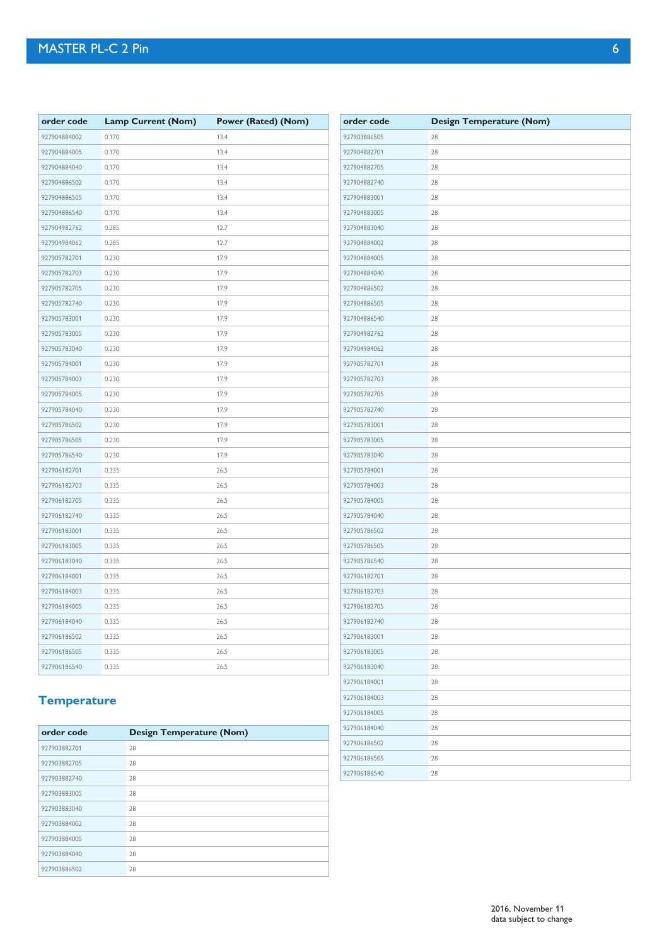| order code   | <b>Lamp Current (Nom)</b> | Power (Rated) (Nom) | order code   | <b>Design Temperature (Nom)</b> |
|--------------|---------------------------|---------------------|--------------|---------------------------------|
| 927904884002 | 0.170                     | 13.4                | 927903886505 | 28                              |
| 927904884005 | 0.170                     | 13.4                | 927904882701 | 28                              |
| 927904884040 | 0.170                     | 13.4                | 927904882705 | 28                              |
| 927904886502 | 0.170                     | 13.4                | 927904882740 | 28                              |
| 927904886505 | 0.170                     | 13.4                | 927904883001 | 28                              |
| 927904886540 | 0.170                     | 13.4                | 927904883005 | 28                              |
| 927904982762 | 0.285                     | 12.7                | 927904883040 | 28                              |
| 927904984062 | 0.285                     | 12.7                | 927904884002 | 28                              |
| 927905782701 | 0.230                     | 17.9                | 927904884005 | 28                              |
| 927905782703 | 0.230                     | 17.9                | 927904884040 | 28                              |
| 927905782705 | 0.230                     | 17.9                | 927904886502 | 28                              |
| 927905782740 | 0.230                     | 17.9                | 927904886505 | 28                              |
| 927905783001 | 0.230                     | 17.9                | 927904886540 | 28                              |
| 927905783005 | 0.230                     | 17.9                | 927904982762 | 28                              |
| 927905783040 | 0.230                     | 17.9                | 927904984062 | 28                              |
| 927905784001 | 0.230                     | 17.9                | 927905782701 | 28                              |
| 927905784003 | 0.230                     | 17.9                | 927905782703 | 28                              |
| 927905784005 | 0.230                     | 17.9                | 927905782705 | 28                              |
| 927905784040 | 0.230                     | 17.9                | 927905782740 | 28                              |
| 927905786502 | 0.230                     | 17.9                | 927905783001 | 28                              |
| 927905786505 | 0.230                     | 17.9                | 927905783005 | 28                              |
| 927905786540 | 0.230                     | 17.9                | 927905783040 | 28                              |
| 927906182701 | 0.335                     | 26.5                | 927905784001 | 28                              |
| 927906182703 | 0.335                     | 26.5                | 927905784003 | 28                              |
| 927906182705 | 0.335                     | 26.5                | 927905784005 | 28                              |
| 927906182740 | 0.335                     | 26.5                | 927905784040 | 28                              |
| 927906183001 | 0.335                     | 26.5                | 927905786502 | 28                              |
| 927906183005 | 0.335                     | 26.5                | 927905786505 | 28                              |
| 927906183040 | 0.335                     | 26.5                | 927905786540 | 28                              |
| 927906184001 | 0.335                     | 26.5                | 927906182701 | 28                              |
| 927906184003 | 0.335                     | 26.5                | 927906182703 | 28                              |
| 927906184005 | 0.335                     | 26.5                | 927906182705 | 28                              |
| 927906184040 | 0.335                     | 26.5                | 927906182740 | 28                              |
| 927906186502 | 0.335                     | 26.5                | 927906183001 | 28                              |
| 927906186505 | 0.335                     | 26.5                | 927906183005 | 28                              |
| 927906186540 | 0.335                     | 26.5                | 927906183040 | 28                              |
|              |                           |                     | 927906184001 | 28                              |
| Temperature  |                           |                     | 927906184003 | 28                              |

 28 28 28 28 28

# **Temperature**

| order code   | <b>Design Temperature (Nom)</b> |
|--------------|---------------------------------|
| 927903882701 | 28                              |
| 927903882705 | 28                              |
| 927903882740 | 28                              |
| 927903883005 | 28                              |
| 927903883040 | 28                              |
| 927903884002 | 28                              |
| 927903884005 | 28                              |
| 927903884040 | 28                              |
| 927903886502 | 28                              |